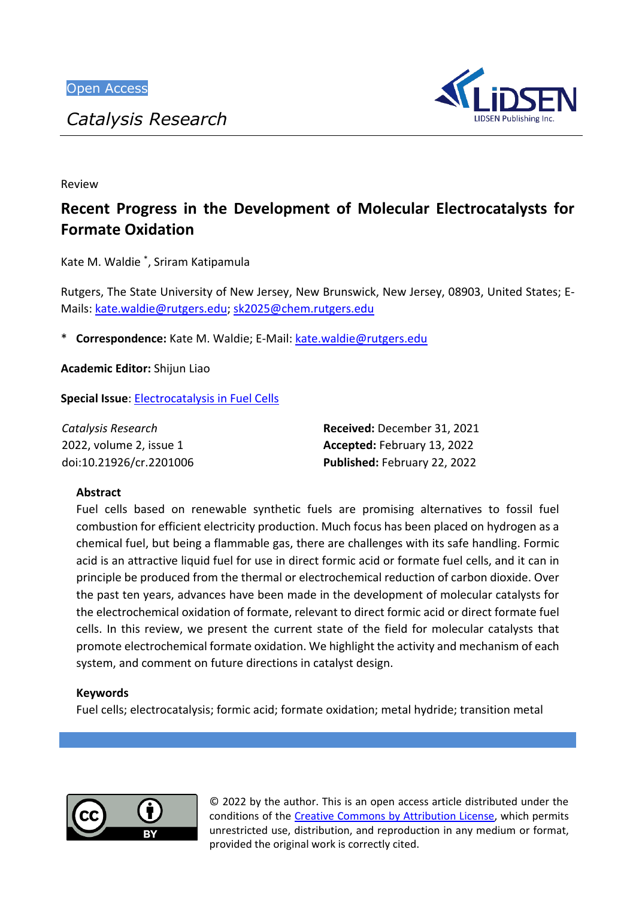*Catalysis Research*



Review

# **Recent Progress in the Development of Molecular Electrocatalysts for Formate Oxidation**

Kate M. Waldie \* , Sriram Katipamula

Rutgers, The State University of New Jersey, New Brunswick, New Jersey, 08903, United States; E-Mails: [kate.waldie@rutgers.edu;](mailto:kate.waldie@rutgers.edu) [sk2025@chem.rutgers.edu](mailto:sk2025@chem.rutgers.edu)

\* **Correspondence:** Kate M. Waldie; E-Mail[: kate.waldie@rutgers.edu](mailto:kate.waldie@rutgers.edu)

**Academic Editor:** Shijun Liao

**Special Issue**: [Electrocatalysis in Fuel Cells](http://www.lidsen.com/journals/cr/cr-special-issues/Electrocataly-Fuel-Cell)

| Catalysis Research      | Received: December 31, 2021         |
|-------------------------|-------------------------------------|
| 2022, volume 2, issue 1 | Accepted: February 13, 2022         |
| doi:10.21926/cr.2201006 | <b>Published: February 22, 2022</b> |

# **Abstract**

Fuel cells based on renewable synthetic fuels are promising alternatives to fossil fuel combustion for efficient electricity production. Much focus has been placed on hydrogen as a chemical fuel, but being a flammable gas, there are challenges with its safe handling. Formic acid is an attractive liquid fuel for use in direct formic acid or formate fuel cells, and it can in principle be produced from the thermal or electrochemical reduction of carbon dioxide. Over the past ten years, advances have been made in the development of molecular catalysts for the electrochemical oxidation of formate, relevant to direct formic acid or direct formate fuel cells. In this review, we present the current state of the field for molecular catalysts that promote electrochemical formate oxidation. We highlight the activity and mechanism of each system, and comment on future directions in catalyst design.

# **Keywords**

Fuel cells; electrocatalysis; formic acid; formate oxidation; metal hydride; transition metal



© 2022 by the author. This is an open access article distributed under the conditions of the [Creative Commons by Attribution License,](http://creativecommons.org/licenses/by/4.0/) which permits unrestricted use, distribution, and reproduction in any medium or format, provided the original work is correctly cited.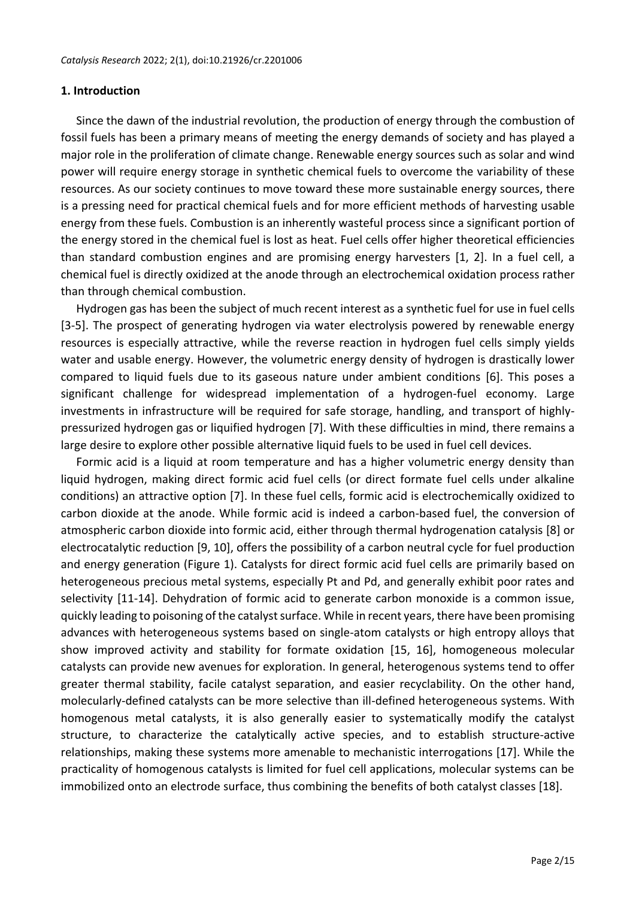#### **1. Introduction**

Since the dawn of the industrial revolution, the production of energy through the combustion of fossil fuels has been a primary means of meeting the energy demands of society and has played a major role in the proliferation of climate change. Renewable energy sources such as solar and wind power will require energy storage in synthetic chemical fuels to overcome the variability of these resources. As our society continues to move toward these more sustainable energy sources, there is a pressing need for practical chemical fuels and for more efficient methods of harvesting usable energy from these fuels. Combustion is an inherently wasteful process since a significant portion of the energy stored in the chemical fuel is lost as heat. Fuel cells offer higher theoretical efficiencies than standard combustion engines and are promising energy harvesters [1, 2]. In a fuel cell, a chemical fuel is directly oxidized at the anode through an electrochemical oxidation process rather than through chemical combustion.

Hydrogen gas has been the subject of much recent interest as a synthetic fuel for use in fuel cells [3-5]. The prospect of generating hydrogen via water electrolysis powered by renewable energy resources is especially attractive, while the reverse reaction in hydrogen fuel cells simply yields water and usable energy. However, the volumetric energy density of hydrogen is drastically lower compared to liquid fuels due to its gaseous nature under ambient conditions [6]. This poses a significant challenge for widespread implementation of a hydrogen-fuel economy. Large investments in infrastructure will be required for safe storage, handling, and transport of highlypressurized hydrogen gas or liquified hydrogen [7]. With these difficulties in mind, there remains a large desire to explore other possible alternative liquid fuels to be used in fuel cell devices.

Formic acid is a liquid at room temperature and has a higher volumetric energy density than liquid hydrogen, making direct formic acid fuel cells (or direct formate fuel cells under alkaline conditions) an attractive option [7]. In these fuel cells, formic acid is electrochemically oxidized to carbon dioxide at the anode. While formic acid is indeed a carbon-based fuel, the conversion of atmospheric carbon dioxide into formic acid, either through thermal hydrogenation catalysis [8] or electrocatalytic reduction [9, 10], offers the possibility of a carbon neutral cycle for fuel production and energy generation (Figure 1). Catalysts for direct formic acid fuel cells are primarily based on heterogeneous precious metal systems, especially Pt and Pd, and generally exhibit poor rates and selectivity [11-14]. Dehydration of formic acid to generate carbon monoxide is a common issue, quickly leading to poisoning of the catalyst surface. While in recent years, there have been promising advances with heterogeneous systems based on single-atom catalysts or high entropy alloys that show improved activity and stability for formate oxidation [15, 16], homogeneous molecular catalysts can provide new avenues for exploration. In general, heterogenous systems tend to offer greater thermal stability, facile catalyst separation, and easier recyclability. On the other hand, molecularly-defined catalysts can be more selective than ill-defined heterogeneous systems. With homogenous metal catalysts, it is also generally easier to systematically modify the catalyst structure, to characterize the catalytically active species, and to establish structure-active relationships, making these systems more amenable to mechanistic interrogations [17]. While the practicality of homogenous catalysts is limited for fuel cell applications, molecular systems can be immobilized onto an electrode surface, thus combining the benefits of both catalyst classes [18].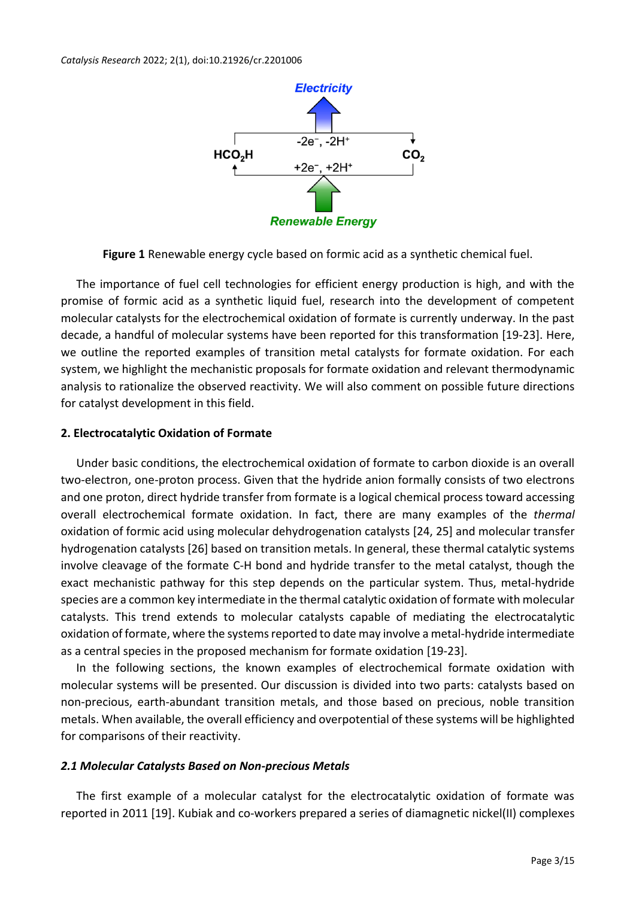

**Figure 1** Renewable energy cycle based on formic acid as a synthetic chemical fuel.

The importance of fuel cell technologies for efficient energy production is high, and with the promise of formic acid as a synthetic liquid fuel, research into the development of competent molecular catalysts for the electrochemical oxidation of formate is currently underway. In the past decade, a handful of molecular systems have been reported for this transformation [19-23]. Here, we outline the reported examples of transition metal catalysts for formate oxidation. For each system, we highlight the mechanistic proposals for formate oxidation and relevant thermodynamic analysis to rationalize the observed reactivity. We will also comment on possible future directions for catalyst development in this field.

# **2. Electrocatalytic Oxidation of Formate**

Under basic conditions, the electrochemical oxidation of formate to carbon dioxide is an overall two-electron, one-proton process. Given that the hydride anion formally consists of two electrons and one proton, direct hydride transfer from formate is a logical chemical process toward accessing overall electrochemical formate oxidation. In fact, there are many examples of the *thermal* oxidation of formic acid using molecular dehydrogenation catalysts [24, 25] and molecular transfer hydrogenation catalysts [26] based on transition metals. In general, these thermal catalytic systems involve cleavage of the formate C-H bond and hydride transfer to the metal catalyst, though the exact mechanistic pathway for this step depends on the particular system. Thus, metal-hydride species are a common key intermediate in the thermal catalytic oxidation of formate with molecular catalysts. This trend extends to molecular catalysts capable of mediating the electrocatalytic oxidation of formate, where the systems reported to date may involve a metal-hydride intermediate as a central species in the proposed mechanism for formate oxidation [19-23].

In the following sections, the known examples of electrochemical formate oxidation with molecular systems will be presented. Our discussion is divided into two parts: catalysts based on non-precious, earth-abundant transition metals, and those based on precious, noble transition metals. When available, the overall efficiency and overpotential of these systems will be highlighted for comparisons of their reactivity.

# *2.1 Molecular Catalysts Based on Non-precious Metals*

The first example of a molecular catalyst for the electrocatalytic oxidation of formate was reported in 2011 [19]. Kubiak and co-workers prepared a series of diamagnetic nickel(II) complexes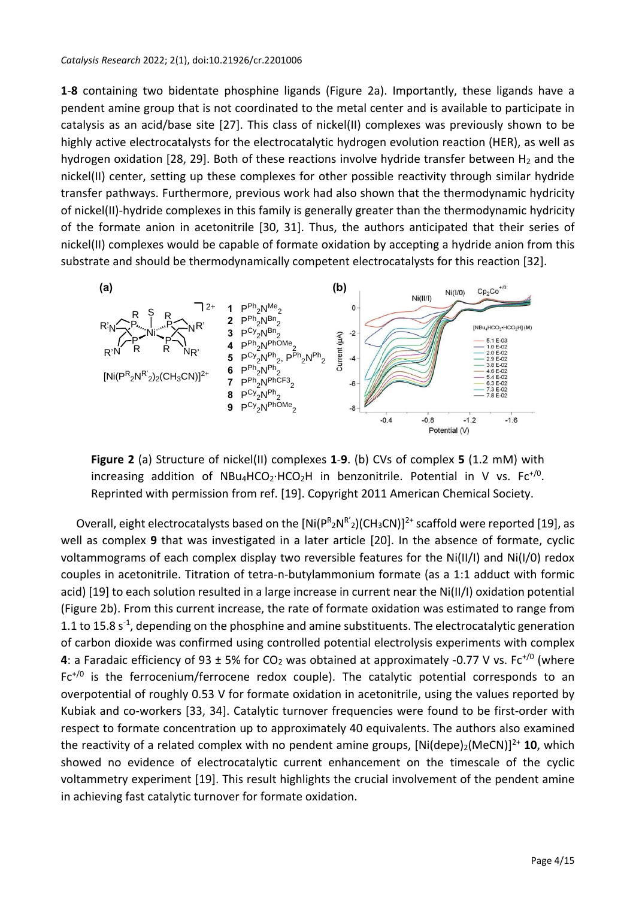**1**-**8** containing two bidentate phosphine ligands (Figure 2a). Importantly, these ligands have a pendent amine group that is not coordinated to the metal center and is available to participate in catalysis as an acid/base site [27]. This class of nickel(II) complexes was previously shown to be highly active electrocatalysts for the electrocatalytic hydrogen evolution reaction (HER), as well as hydrogen oxidation [28, 29]. Both of these reactions involve hydride transfer between  $H_2$  and the nickel(II) center, setting up these complexes for other possible reactivity through similar hydride transfer pathways. Furthermore, previous work had also shown that the thermodynamic hydricity of nickel(II)-hydride complexes in this family is generally greater than the thermodynamic hydricity of the formate anion in acetonitrile [30, 31]. Thus, the authors anticipated that their series of nickel(II) complexes would be capable of formate oxidation by accepting a hydride anion from this substrate and should be thermodynamically competent electrocatalysts for this reaction [32].



**Figure 2** (a) Structure of nickel(II) complexes **1**-**9**. (b) CVs of complex **5** (1.2 mM) with increasing addition of NBu<sub>4</sub>HCO<sub>2</sub>⋅HCO<sub>2</sub>H in benzonitrile. Potential in V vs. Fc<sup>+/0</sup>. Reprinted with permission from ref. [19]. Copyright 2011 American Chemical Society.

Overall, eight electrocatalysts based on the  $[Ni(P^R{}_2N^{R'}{}_2)(CH_3CN)]^{2+}$  scaffold were reported [19], as well as complex **9** that was investigated in a later article [20]. In the absence of formate, cyclic voltammograms of each complex display two reversible features for the Ni(II/I) and Ni(I/0) redox couples in acetonitrile. Titration of tetra-n-butylammonium formate (as a 1:1 adduct with formic acid) [19] to each solution resulted in a large increase in current near the Ni(II/I) oxidation potential (Figure 2b). From this current increase, the rate of formate oxidation was estimated to range from 1.1 to 15.8 s<sup>-1</sup>, depending on the phosphine and amine substituents. The electrocatalytic generation of carbon dioxide was confirmed using controlled potential electrolysis experiments with complex **4**: a Faradaic efficiency of 93  $\pm$  5% for CO<sub>2</sub> was obtained at approximately -0.77 V vs. Fc<sup>+/0</sup> (where  $Fc^{+/0}$  is the ferrocenium/ferrocene redox couple). The catalytic potential corresponds to an overpotential of roughly 0.53 V for formate oxidation in acetonitrile, using the values reported by Kubiak and co-workers [33, 34]. Catalytic turnover frequencies were found to be first-order with respect to formate concentration up to approximately 40 equivalents. The authors also examined the reactivity of a related complex with no pendent amine groups,  $[Ni(depe)<sub>2</sub>(MeCN)]^{2+}$  10, which showed no evidence of electrocatalytic current enhancement on the timescale of the cyclic voltammetry experiment [19]. This result highlights the crucial involvement of the pendent amine in achieving fast catalytic turnover for formate oxidation.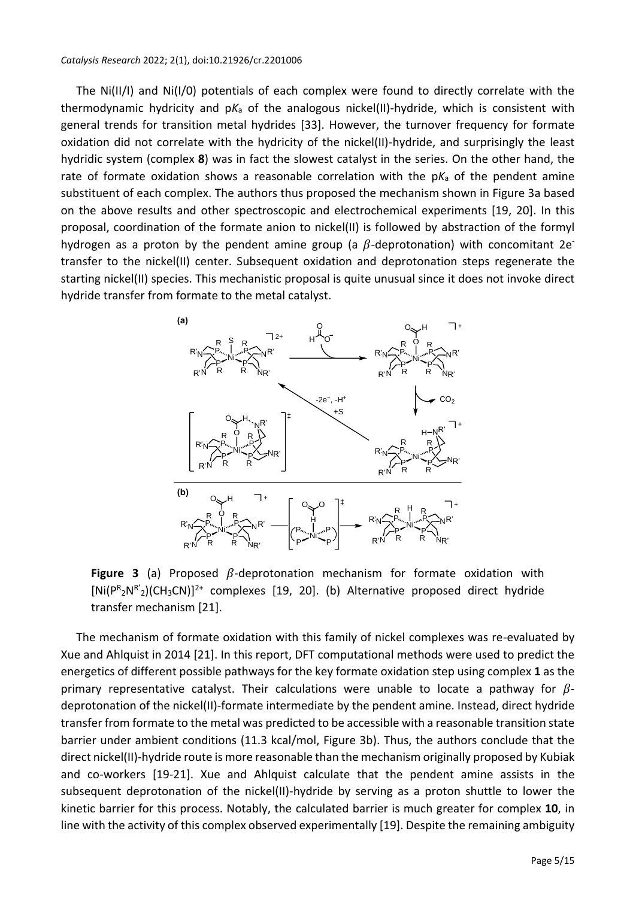The Ni(II/I) and Ni(I/0) potentials of each complex were found to directly correlate with the thermodynamic hydricity and p*K*<sup>a</sup> of the analogous nickel(II)-hydride, which is consistent with general trends for transition metal hydrides [33]. However, the turnover frequency for formate oxidation did not correlate with the hydricity of the nickel(II)-hydride, and surprisingly the least hydridic system (complex **8**) was in fact the slowest catalyst in the series. On the other hand, the rate of formate oxidation shows a reasonable correlation with the pK<sub>a</sub> of the pendent amine substituent of each complex. The authors thus proposed the mechanism shown in Figure 3a based on the above results and other spectroscopic and electrochemical experiments [19, 20]. In this proposal, coordination of the formate anion to nickel(II) is followed by abstraction of the formyl hydrogen as a proton by the pendent amine group (a  $\beta$ -deprotonation) with concomitant 2e<sup>-</sup> transfer to the nickel(II) center. Subsequent oxidation and deprotonation steps regenerate the starting nickel(II) species. This mechanistic proposal is quite unusual since it does not invoke direct hydride transfer from formate to the metal catalyst.



**Figure 3** (a) Proposed  $\beta$ -deprotonation mechanism for formate oxidation with  $[Ni(P<sup>R</sup>2N<sup>R'</sup>2)(CH<sub>3</sub>CN)]<sup>2+</sup>$  complexes [19, 20]. (b) Alternative proposed direct hydride transfer mechanism [21].

The mechanism of formate oxidation with this family of nickel complexes was re-evaluated by Xue and Ahlquist in 2014 [21]. In this report, DFT computational methods were used to predict the energetics of different possible pathways for the key formate oxidation step using complex **1** as the primary representative catalyst. Their calculations were unable to locate a pathway for  $\beta$ deprotonation of the nickel(II)-formate intermediate by the pendent amine. Instead, direct hydride transfer from formate to the metal was predicted to be accessible with a reasonable transition state barrier under ambient conditions (11.3 kcal/mol, Figure 3b). Thus, the authors conclude that the direct nickel(II)-hydride route is more reasonable than the mechanism originally proposed by Kubiak and co-workers [19-21]. Xue and Ahlquist calculate that the pendent amine assists in the subsequent deprotonation of the nickel(II)-hydride by serving as a proton shuttle to lower the kinetic barrier for this process. Notably, the calculated barrier is much greater for complex **10**, in line with the activity of this complex observed experimentally [19]. Despite the remaining ambiguity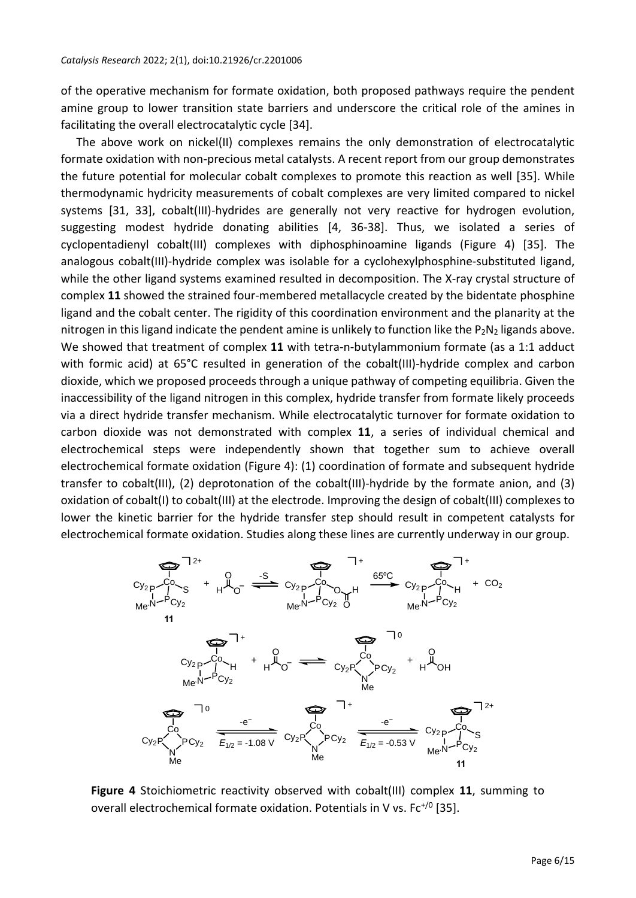of the operative mechanism for formate oxidation, both proposed pathways require the pendent amine group to lower transition state barriers and underscore the critical role of the amines in facilitating the overall electrocatalytic cycle [34].

The above work on nickel(II) complexes remains the only demonstration of electrocatalytic formate oxidation with non-precious metal catalysts. A recent report from our group demonstrates the future potential for molecular cobalt complexes to promote this reaction as well [35]. While thermodynamic hydricity measurements of cobalt complexes are very limited compared to nickel systems [31, 33], cobalt(III)-hydrides are generally not very reactive for hydrogen evolution, suggesting modest hydride donating abilities [4, 36-38]. Thus, we isolated a series of cyclopentadienyl cobalt(III) complexes with diphosphinoamine ligands (Figure 4) [35]. The analogous cobalt(III)-hydride complex was isolable for a cyclohexylphosphine-substituted ligand, while the other ligand systems examined resulted in decomposition. The X-ray crystal structure of complex **11** showed the strained four-membered metallacycle created by the bidentate phosphine ligand and the cobalt center. The rigidity of this coordination environment and the planarity at the nitrogen in this ligand indicate the pendent amine is unlikely to function like the  $P_2N_2$  ligands above. We showed that treatment of complex **11** with tetra-n-butylammonium formate (as a 1:1 adduct with formic acid) at 65°C resulted in generation of the cobalt(III)-hydride complex and carbon dioxide, which we proposed proceeds through a unique pathway of competing equilibria. Given the inaccessibility of the ligand nitrogen in this complex, hydride transfer from formate likely proceeds via a direct hydride transfer mechanism. While electrocatalytic turnover for formate oxidation to carbon dioxide was not demonstrated with complex **11**, a series of individual chemical and electrochemical steps were independently shown that together sum to achieve overall electrochemical formate oxidation (Figure 4): (1) coordination of formate and subsequent hydride transfer to cobalt(III), (2) deprotonation of the cobalt(III)-hydride by the formate anion, and (3) oxidation of cobalt(I) to cobalt(III) at the electrode. Improving the design of cobalt(III) complexes to lower the kinetic barrier for the hydride transfer step should result in competent catalysts for electrochemical formate oxidation. Studies along these lines are currently underway in our group.



**Figure 4** Stoichiometric reactivity observed with cobalt(III) complex **11**, summing to overall electrochemical formate oxidation. Potentials in V vs.  $Fe^{+/0}$  [35].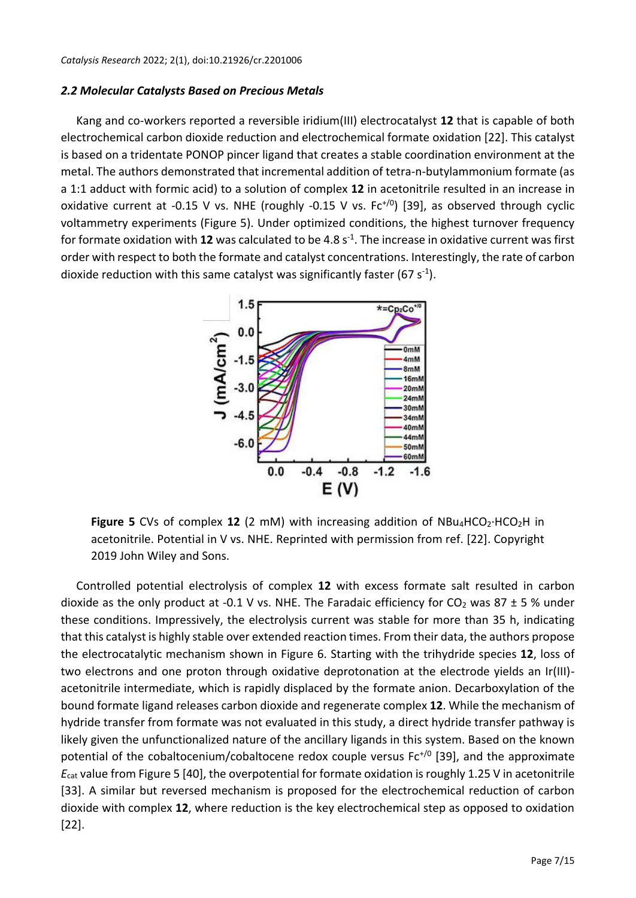# *2.2 Molecular Catalysts Based on Precious Metals*

Kang and co-workers reported a reversible iridium(III) electrocatalyst **12** that is capable of both electrochemical carbon dioxide reduction and electrochemical formate oxidation [22]. This catalyst is based on a tridentate PONOP pincer ligand that creates a stable coordination environment at the metal. The authors demonstrated that incremental addition of tetra-n-butylammonium formate (as a 1:1 adduct with formic acid) to a solution of complex **12** in acetonitrile resulted in an increase in oxidative current at -0.15 V vs. NHE (roughly -0.15 V vs.  $Fe^{+/0}$ ) [39], as observed through cyclic voltammetry experiments (Figure 5). Under optimized conditions, the highest turnover frequency for formate oxidation with 12 was calculated to be 4.8 s<sup>-1</sup>. The increase in oxidative current was first order with respect to both the formate and catalyst concentrations. Interestingly, the rate of carbon dioxide reduction with this same catalyst was significantly faster (67  $s^{-1}$ ).



Figure 5 CVs of complex 12 (2 mM) with increasing addition of NBu<sub>4</sub>HCO<sub>2</sub>⋅HCO<sub>2</sub>H in acetonitrile. Potential in V vs. NHE. Reprinted with permission from ref. [22]. Copyright 2019 John Wiley and Sons.

Controlled potential electrolysis of complex **12** with excess formate salt resulted in carbon dioxide as the only product at -0.1 V vs. NHE. The Faradaic efficiency for  $CO<sub>2</sub>$  was 87  $\pm$  5 % under these conditions. Impressively, the electrolysis current was stable for more than 35 h, indicating that this catalyst is highly stable over extended reaction times. From their data, the authors propose the electrocatalytic mechanism shown in Figure 6. Starting with the trihydride species **12**, loss of two electrons and one proton through oxidative deprotonation at the electrode yields an Ir(III) acetonitrile intermediate, which is rapidly displaced by the formate anion. Decarboxylation of the bound formate ligand releases carbon dioxide and regenerate complex **12**. While the mechanism of hydride transfer from formate was not evaluated in this study, a direct hydride transfer pathway is likely given the unfunctionalized nature of the ancillary ligands in this system. Based on the known potential of the cobaltocenium/cobaltocene redox couple versus  $Fc^{+/0}$  [39], and the approximate *E*cat value from Figure 5 [40], the overpotential for formate oxidation is roughly 1.25 V in acetonitrile [33]. A similar but reversed mechanism is proposed for the electrochemical reduction of carbon dioxide with complex **12**, where reduction is the key electrochemical step as opposed to oxidation [22].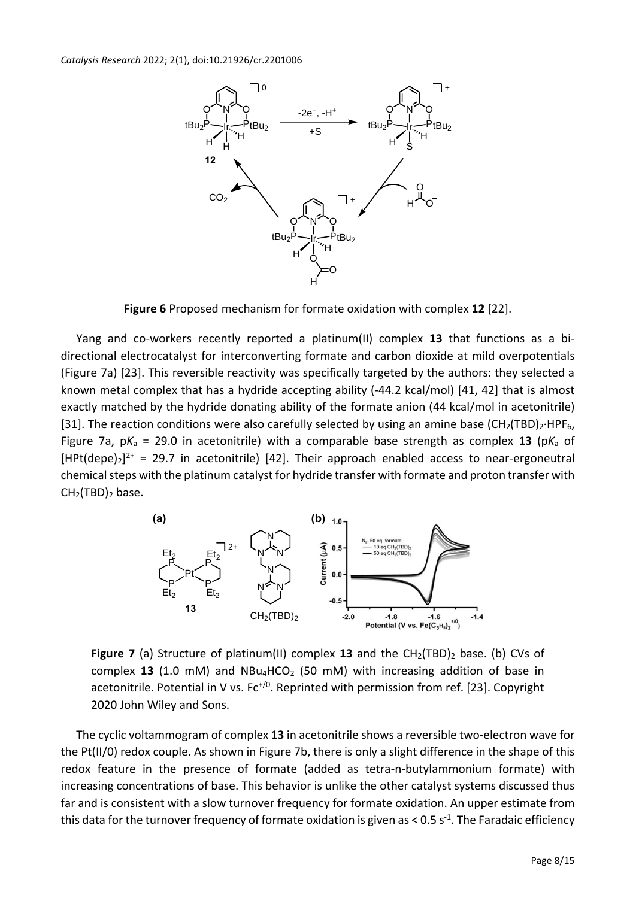

**Figure 6** Proposed mechanism for formate oxidation with complex **12** [22].

Yang and co-workers recently reported a platinum(II) complex **13** that functions as a bidirectional electrocatalyst for interconverting formate and carbon dioxide at mild overpotentials (Figure 7a) [23]. This reversible reactivity was specifically targeted by the authors: they selected a known metal complex that has a hydride accepting ability (-44.2 kcal/mol) [41, 42] that is almost exactly matched by the hydride donating ability of the formate anion (44 kcal/mol in acetonitrile) [31]. The reaction conditions were also carefully selected by using an amine base (CH<sub>2</sub>(TBD)<sub>2</sub>⋅HPF<sub>6</sub>, Figure 7a,  $pK_a = 29.0$  in acetonitrile) with a comparable base strength as complex 13 ( $pK_a$  of  $[HPt(depe)<sub>2</sub>]^{2+} = 29.7$  in acetonitrile) [42]. Their approach enabled access to near-ergoneutral chemical steps with the platinum catalyst for hydride transfer with formate and proton transfer with  $CH<sub>2</sub>(TBD)<sub>2</sub>$  base.



**Figure 7** (a) Structure of platinum(II) complex **13** and the  $CH_2(TBD)_2$  base. (b) CVs of complex  $13$  (1.0 mM) and  $NBu_4HCO_2$  (50 mM) with increasing addition of base in acetonitrile. Potential in V vs.  $Fc^{+/0}$ . Reprinted with permission from ref. [23]. Copyright 2020 John Wiley and Sons.

The cyclic voltammogram of complex **13** in acetonitrile shows a reversible two-electron wave for the Pt(II/0) redox couple. As shown in Figure 7b, there is only a slight difference in the shape of this redox feature in the presence of formate (added as tetra-n-butylammonium formate) with increasing concentrations of base. This behavior is unlike the other catalyst systems discussed thus far and is consistent with a slow turnover frequency for formate oxidation. An upper estimate from this data for the turnover frequency of formate oxidation is given as  $<$  0.5 s<sup>-1</sup>. The Faradaic efficiency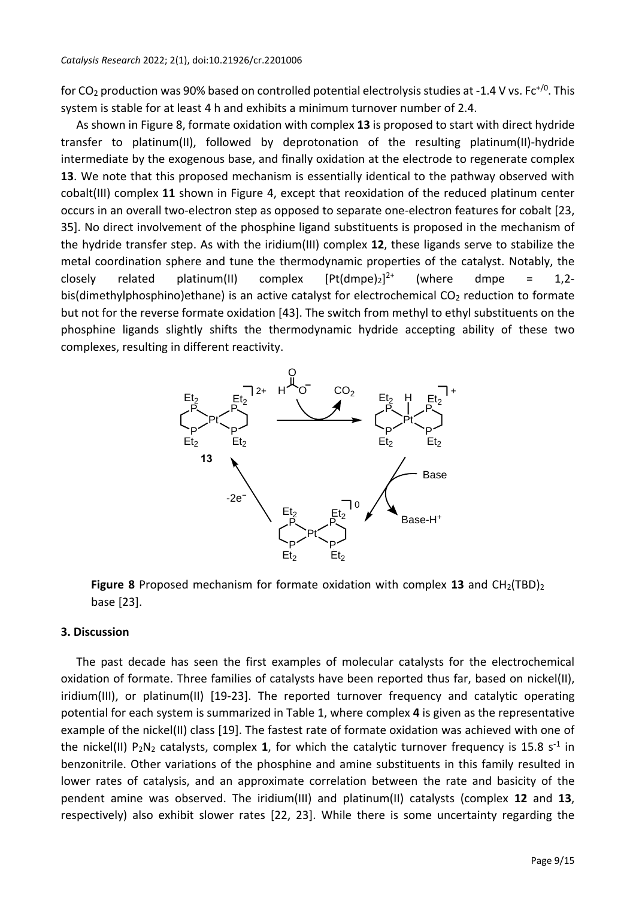for CO<sub>2</sub> production was 90% based on controlled potential electrolysis studies at -1.4 V vs. Fc<sup>+/0</sup>. This system is stable for at least 4 h and exhibits a minimum turnover number of 2.4.

As shown in Figure 8, formate oxidation with complex **13** is proposed to start with direct hydride transfer to platinum(II), followed by deprotonation of the resulting platinum(II)-hydride intermediate by the exogenous base, and finally oxidation at the electrode to regenerate complex **13**. We note that this proposed mechanism is essentially identical to the pathway observed with cobalt(III) complex **11** shown in Figure 4, except that reoxidation of the reduced platinum center occurs in an overall two-electron step as opposed to separate one-electron features for cobalt [23, 35]. No direct involvement of the phosphine ligand substituents is proposed in the mechanism of the hydride transfer step. As with the iridium(III) complex **12**, these ligands serve to stabilize the metal coordination sphere and tune the thermodynamic properties of the catalyst. Notably, the closely related platinum(II) complex  $[Pt(dmpe)_2]^{2+}$ (where dmpe  $=$  1.2bis(dimethylphosphino)ethane) is an active catalyst for electrochemical  $CO<sub>2</sub>$  reduction to formate but not for the reverse formate oxidation [43]. The switch from methyl to ethyl substituents on the phosphine ligands slightly shifts the thermodynamic hydride accepting ability of these two complexes, resulting in different reactivity.



**Figure 8** Proposed mechanism for formate oxidation with complex 13 and  $CH_2(TBD)_2$ base [23].

#### **3. Discussion**

The past decade has seen the first examples of molecular catalysts for the electrochemical oxidation of formate. Three families of catalysts have been reported thus far, based on nickel(II), iridium(III), or platinum(II) [19-23]. The reported turnover frequency and catalytic operating potential for each system is summarized in Table 1, where complex **4** is given as the representative example of the nickel(II) class [19]. The fastest rate of formate oxidation was achieved with one of the nickel(II)  $P_2N_2$  catalysts, complex 1, for which the catalytic turnover frequency is 15.8 s<sup>-1</sup> in benzonitrile. Other variations of the phosphine and amine substituents in this family resulted in lower rates of catalysis, and an approximate correlation between the rate and basicity of the pendent amine was observed. The iridium(III) and platinum(II) catalysts (complex **12** and **13**, respectively) also exhibit slower rates [22, 23]. While there is some uncertainty regarding the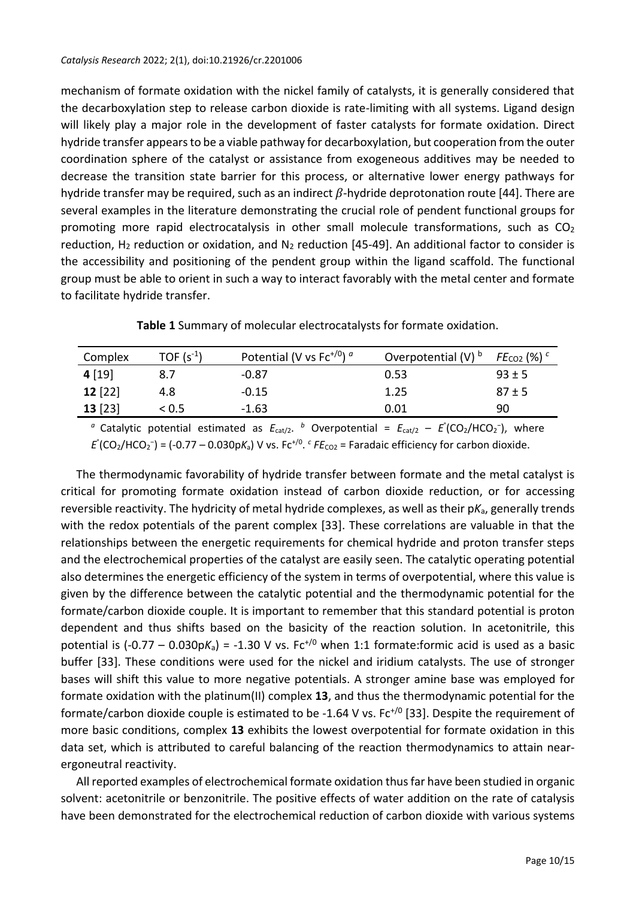mechanism of formate oxidation with the nickel family of catalysts, it is generally considered that the decarboxylation step to release carbon dioxide is rate-limiting with all systems. Ligand design will likely play a major role in the development of faster catalysts for formate oxidation. Direct hydride transfer appears to be a viable pathway for decarboxylation, but cooperation from the outer coordination sphere of the catalyst or assistance from exogeneous additives may be needed to decrease the transition state barrier for this process, or alternative lower energy pathways for hydride transfer may be required, such as an indirect  $\beta$ -hydride deprotonation route [44]. There are several examples in the literature demonstrating the crucial role of pendent functional groups for promoting more rapid electrocatalysis in other small molecule transformations, such as  $CO<sub>2</sub>$ reduction,  $H_2$  reduction or oxidation, and  $N_2$  reduction [45-49]. An additional factor to consider is the accessibility and positioning of the pendent group within the ligand scaffold. The functional group must be able to orient in such a way to interact favorably with the metal center and formate to facilitate hydride transfer.

| Complex   | TOF $(s^{-1})$ | Potential (V vs $Fc^{+/0}$ ) $^a$ | Overpotential $(V)$ <sup>b</sup> | $FE_{CO2}$ (%) $^{c}$ |
|-----------|----------------|-----------------------------------|----------------------------------|-----------------------|
| 4[19]     | 8.7            | $-0.87$                           | 0.53                             | $93 \pm 5$            |
| $12$ [22] | 4.8            | $-0.15$                           | 1.25                             | $87 \pm 5$            |
| 13[23]    | < 0.5          | $-1.63$                           | 0.01                             | 90                    |

<sup>a</sup> Catalytic potential estimated as *E*<sub>cat/2</sub>. <sup>b</sup> Overpotential = *E*<sub>cat/2</sub> − *E*<sup>°</sup>(CO<sub>2</sub>/HCO<sub>2</sub><sup>−</sup>), where  $E^*(CO_2/HCO_2^-) = (-0.77 - 0.030pK_a)$  V vs. Fc<sup>+/0</sup>.  $c$  *FE*<sub>CO2</sub> = Faradaic efficiency for carbon dioxide.

The thermodynamic favorability of hydride transfer between formate and the metal catalyst is critical for promoting formate oxidation instead of carbon dioxide reduction, or for accessing reversible reactivity. The hydricity of metal hydride complexes, as well as their pK<sub>a</sub>, generally trends with the redox potentials of the parent complex [33]. These correlations are valuable in that the relationships between the energetic requirements for chemical hydride and proton transfer steps and the electrochemical properties of the catalyst are easily seen. The catalytic operating potential also determines the energetic efficiency of the system in terms of overpotential, where this value is given by the difference between the catalytic potential and the thermodynamic potential for the formate/carbon dioxide couple. It is important to remember that this standard potential is proton dependent and thus shifts based on the basicity of the reaction solution. In acetonitrile, this potential is  $(-0.77 - 0.030pK_a) = -1.30 V$  vs. Fc<sup>+/0</sup> when 1:1 formate:formic acid is used as a basic buffer [33]. These conditions were used for the nickel and iridium catalysts. The use of stronger bases will shift this value to more negative potentials. A stronger amine base was employed for formate oxidation with the platinum(II) complex **13**, and thus the thermodynamic potential for the formate/carbon dioxide couple is estimated to be -1.64 V vs.  $Fc^{1/0}$  [33]. Despite the requirement of more basic conditions, complex **13** exhibits the lowest overpotential for formate oxidation in this data set, which is attributed to careful balancing of the reaction thermodynamics to attain nearergoneutral reactivity.

All reported examples of electrochemical formate oxidation thus far have been studied in organic solvent: acetonitrile or benzonitrile. The positive effects of water addition on the rate of catalysis have been demonstrated for the electrochemical reduction of carbon dioxide with various systems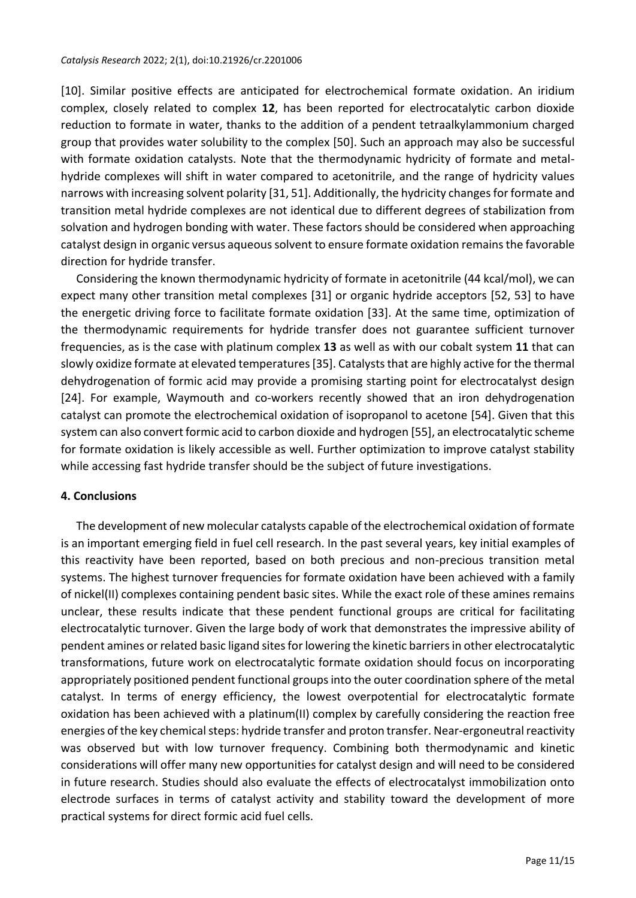[10]. Similar positive effects are anticipated for electrochemical formate oxidation. An iridium complex, closely related to complex **12**, has been reported for electrocatalytic carbon dioxide reduction to formate in water, thanks to the addition of a pendent tetraalkylammonium charged group that provides water solubility to the complex [50]. Such an approach may also be successful with formate oxidation catalysts. Note that the thermodynamic hydricity of formate and metalhydride complexes will shift in water compared to acetonitrile, and the range of hydricity values narrows with increasing solvent polarity [31, 51]. Additionally, the hydricity changesfor formate and transition metal hydride complexes are not identical due to different degrees of stabilization from solvation and hydrogen bonding with water. These factors should be considered when approaching catalyst design in organic versus aqueous solvent to ensure formate oxidation remains the favorable direction for hydride transfer.

Considering the known thermodynamic hydricity of formate in acetonitrile (44 kcal/mol), we can expect many other transition metal complexes [31] or organic hydride acceptors [52, 53] to have the energetic driving force to facilitate formate oxidation [33]. At the same time, optimization of the thermodynamic requirements for hydride transfer does not guarantee sufficient turnover frequencies, as is the case with platinum complex **13** as well as with our cobalt system **11** that can slowly oxidize formate at elevated temperatures [35]. Catalysts that are highly active for the thermal dehydrogenation of formic acid may provide a promising starting point for electrocatalyst design [24]. For example, Waymouth and co-workers recently showed that an iron dehydrogenation catalyst can promote the electrochemical oxidation of isopropanol to acetone [54]. Given that this system can also convert formic acid to carbon dioxide and hydrogen [55], an electrocatalytic scheme for formate oxidation is likely accessible as well. Further optimization to improve catalyst stability while accessing fast hydride transfer should be the subject of future investigations.

#### **4. Conclusions**

The development of new molecular catalysts capable of the electrochemical oxidation of formate is an important emerging field in fuel cell research. In the past several years, key initial examples of this reactivity have been reported, based on both precious and non-precious transition metal systems. The highest turnover frequencies for formate oxidation have been achieved with a family of nickel(II) complexes containing pendent basic sites. While the exact role of these amines remains unclear, these results indicate that these pendent functional groups are critical for facilitating electrocatalytic turnover. Given the large body of work that demonstrates the impressive ability of pendent amines or related basic ligand sitesfor lowering the kinetic barriersin other electrocatalytic transformations, future work on electrocatalytic formate oxidation should focus on incorporating appropriately positioned pendent functional groups into the outer coordination sphere of the metal catalyst. In terms of energy efficiency, the lowest overpotential for electrocatalytic formate oxidation has been achieved with a platinum(II) complex by carefully considering the reaction free energies of the key chemical steps: hydride transfer and proton transfer. Near-ergoneutral reactivity was observed but with low turnover frequency. Combining both thermodynamic and kinetic considerations will offer many new opportunities for catalyst design and will need to be considered in future research. Studies should also evaluate the effects of electrocatalyst immobilization onto electrode surfaces in terms of catalyst activity and stability toward the development of more practical systems for direct formic acid fuel cells.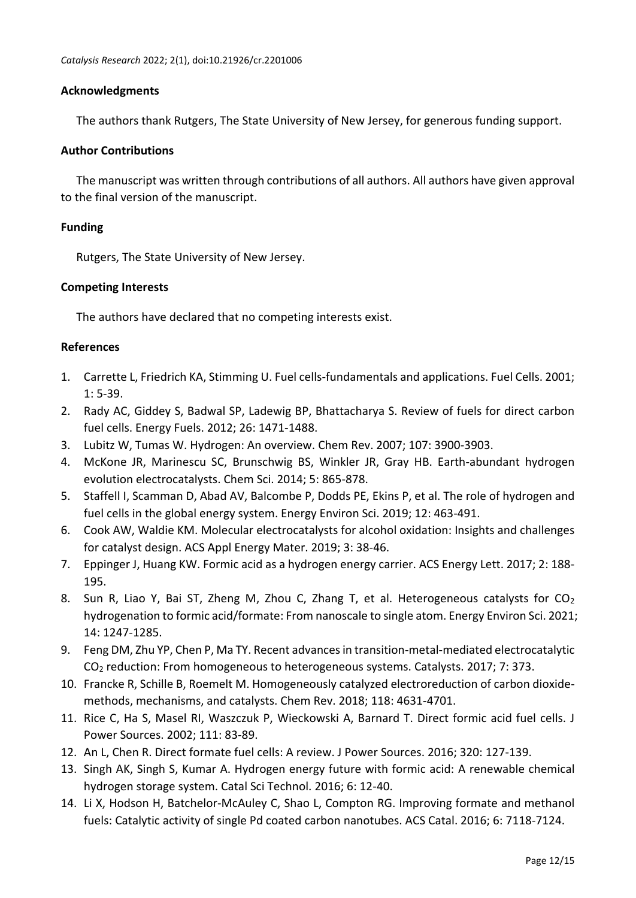## **Acknowledgments**

The authors thank Rutgers, The State University of New Jersey, for generous funding support.

#### **Author Contributions**

The manuscript was written through contributions of all authors. All authors have given approval to the final version of the manuscript.

## **Funding**

Rutgers, The State University of New Jersey.

## **Competing Interests**

The authors have declared that no competing interests exist.

## **References**

- 1. Carrette L, Friedrich KA, Stimming U. Fuel cells-fundamentals and applications. Fuel Cells. 2001; 1: 5-39.
- 2. Rady AC, Giddey S, Badwal SP, Ladewig BP, Bhattacharya S. Review of fuels for direct carbon fuel cells. Energy Fuels. 2012; 26: 1471-1488.
- 3. Lubitz W, Tumas W. Hydrogen: An overview. Chem Rev. 2007; 107: 3900-3903.
- 4. McKone JR, Marinescu SC, Brunschwig BS, Winkler JR, Gray HB. Earth-abundant hydrogen evolution electrocatalysts. Chem Sci. 2014; 5: 865-878.
- 5. Staffell I, Scamman D, Abad AV, Balcombe P, Dodds PE, Ekins P, et al. The role of hydrogen and fuel cells in the global energy system. Energy Environ Sci. 2019; 12: 463-491.
- 6. Cook AW, Waldie KM. Molecular electrocatalysts for alcohol oxidation: Insights and challenges for catalyst design. ACS Appl Energy Mater. 2019; 3: 38-46.
- 7. Eppinger J, Huang KW. Formic acid as a hydrogen energy carrier. ACS Energy Lett. 2017; 2: 188- 195.
- 8. Sun R, Liao Y, Bai ST, Zheng M, Zhou C, Zhang T, et al. Heterogeneous catalysts for CO<sub>2</sub> hydrogenation to formic acid/formate: From nanoscale to single atom. Energy Environ Sci. 2021; 14: 1247-1285.
- 9. Feng DM, Zhu YP, Chen P, Ma TY. Recent advances in transition-metal-mediated electrocatalytic CO<sup>2</sup> reduction: From homogeneous to heterogeneous systems. Catalysts. 2017; 7: 373.
- 10. Francke R, Schille B, Roemelt M. Homogeneously catalyzed electroreduction of carbon dioxidemethods, mechanisms, and catalysts. Chem Rev. 2018; 118: 4631-4701.
- 11. Rice C, Ha S, Masel RI, Waszczuk P, Wieckowski A, Barnard T. Direct formic acid fuel cells. J Power Sources. 2002; 111: 83-89.
- 12. An L, Chen R. Direct formate fuel cells: A review. J Power Sources. 2016; 320: 127-139.
- 13. Singh AK, Singh S, Kumar A. Hydrogen energy future with formic acid: A renewable chemical hydrogen storage system. Catal Sci Technol. 2016; 6: 12-40.
- 14. Li X, Hodson H, Batchelor-McAuley C, Shao L, Compton RG. Improving formate and methanol fuels: Catalytic activity of single Pd coated carbon nanotubes. ACS Catal. 2016; 6: 7118-7124.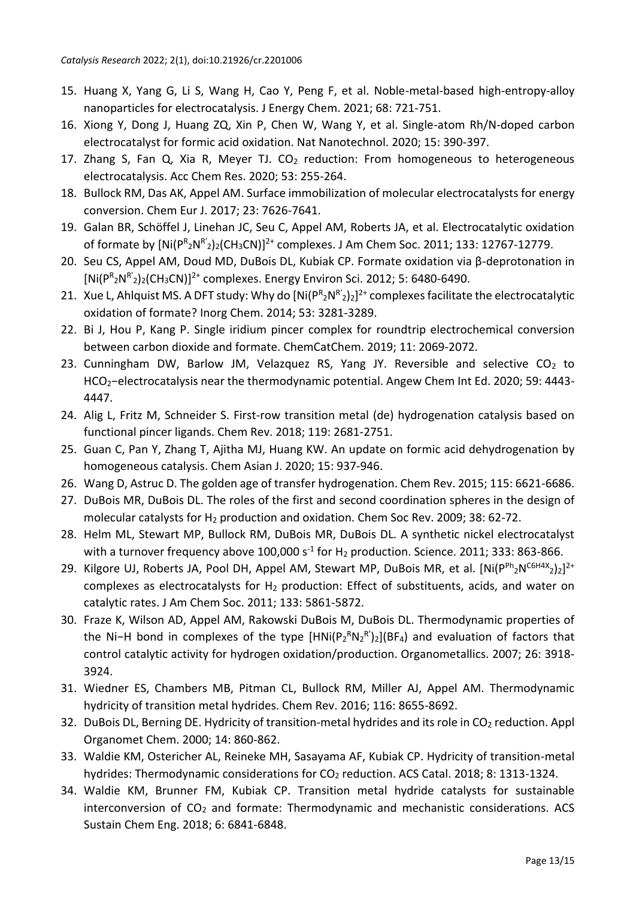- 15. Huang X, Yang G, Li S, Wang H, Cao Y, Peng F, et al. Noble-metal-based high-entropy-alloy nanoparticles for electrocatalysis. J Energy Chem. 2021; 68: 721-751.
- 16. Xiong Y, Dong J, Huang ZQ, Xin P, Chen W, Wang Y, et al. Single-atom Rh/N-doped carbon electrocatalyst for formic acid oxidation. Nat Nanotechnol. 2020; 15: 390-397.
- 17. Zhang S, Fan Q, Xia R, Meyer TJ.  $CO<sub>2</sub>$  reduction: From homogeneous to heterogeneous electrocatalysis. Acc Chem Res. 2020; 53: 255-264.
- 18. Bullock RM, Das AK, Appel AM. Surface immobilization of molecular electrocatalysts for energy conversion. Chem Eur J. 2017; 23: 7626-7641.
- 19. Galan BR, Schöffel J, Linehan JC, Seu C, Appel AM, Roberts JA, et al. Electrocatalytic oxidation of formate by  $[Ni(P^{R} {}_{2}N^{R'} {}_{2})_{2}$ (CH<sub>3</sub>CN)]<sup>2+</sup> complexes. J Am Chem Soc. 2011; 133: 12767-12779.
- 20. Seu CS, Appel AM, Doud MD, DuBois DL, Kubiak CP. Formate oxidation via β-deprotonation in  $[Ni(P<sup>R</sup>2N<sup>R'</sup>2)2(CH_3CN)]<sup>2+</sup>$  complexes. Energy Environ Sci. 2012; 5: 6480-6490.
- 21. Xue L, Ahlquist MS. A DFT study: Why do  $[Ni(P<sup>R</sup>2N<sup>R'</sup>2)2]^{2+}$  complexes facilitate the electrocatalytic oxidation of formate? Inorg Chem. 2014; 53: 3281-3289.
- 22. Bi J, Hou P, Kang P. Single iridium pincer complex for roundtrip electrochemical conversion between carbon dioxide and formate. ChemCatChem. 2019; 11: 2069-2072.
- 23. Cunningham DW, Barlow JM, Velazquez RS, Yang JY. Reversible and selective  $CO<sub>2</sub>$  to HCO2−electrocatalysis near the thermodynamic potential. Angew Chem Int Ed. 2020; 59: 4443- 4447.
- 24. Alig L, Fritz M, Schneider S. First-row transition metal (de) hydrogenation catalysis based on functional pincer ligands. Chem Rev. 2018; 119: 2681-2751.
- 25. Guan C, Pan Y, Zhang T, Ajitha MJ, Huang KW. An update on formic acid dehydrogenation by homogeneous catalysis. Chem Asian J. 2020; 15: 937-946.
- 26. Wang D, Astruc D. The golden age of transfer hydrogenation. Chem Rev. 2015; 115: 6621-6686.
- 27. DuBois MR, DuBois DL. The roles of the first and second coordination spheres in the design of molecular catalysts for  $H_2$  production and oxidation. Chem Soc Rev. 2009; 38: 62-72.
- 28. Helm ML, Stewart MP, Bullock RM, DuBois MR, DuBois DL. A synthetic nickel electrocatalyst with a turnover frequency above 100,000 s<sup>-1</sup> for H<sub>2</sub> production. Science. 2011; 333: 863-866.
- 29. Kilgore UJ, Roberts JA, Pool DH, Appel AM, Stewart MP, DuBois MR, et al. [Ni(P<sup>Ph</sup>2N<sup>C6H4X</sup>2)2]<sup>2+</sup> complexes as electrocatalysts for  $H_2$  production: Effect of substituents, acids, and water on catalytic rates. J Am Chem Soc. 2011; 133: 5861-5872.
- 30. Fraze K, Wilson AD, Appel AM, Rakowski DuBois M, DuBois DL. Thermodynamic properties of the Ni−H bond in complexes of the type [HNi(P<sub>2</sub><sup>R</sup>N<sub>2</sub><sup>R'</sup>)<sub>2</sub>](BF<sub>4</sub>) and evaluation of factors that control catalytic activity for hydrogen oxidation/production. Organometallics. 2007; 26: 3918- 3924.
- 31. Wiedner ES, Chambers MB, Pitman CL, Bullock RM, Miller AJ, Appel AM. Thermodynamic hydricity of transition metal hydrides. Chem Rev. 2016; 116: 8655-8692.
- 32. DuBois DL, Berning DE. Hydricity of transition-metal hydrides and its role in CO<sub>2</sub> reduction. Appl Organomet Chem. 2000; 14: 860-862.
- 33. Waldie KM, Ostericher AL, Reineke MH, Sasayama AF, Kubiak CP. Hydricity of transition-metal hydrides: Thermodynamic considerations for CO<sub>2</sub> reduction. ACS Catal. 2018; 8: 1313-1324.
- 34. Waldie KM, Brunner FM, Kubiak CP. Transition metal hydride catalysts for sustainable interconversion of  $CO<sub>2</sub>$  and formate: Thermodynamic and mechanistic considerations. ACS Sustain Chem Eng. 2018; 6: 6841-6848.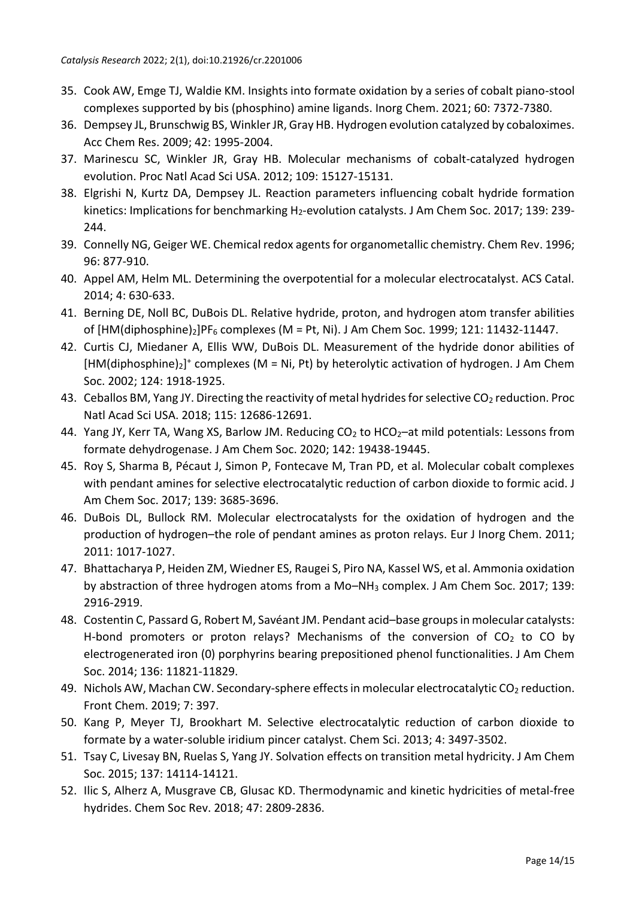- 35. Cook AW, Emge TJ, Waldie KM. Insights into formate oxidation by a series of cobalt piano-stool complexes supported by bis (phosphino) amine ligands. Inorg Chem. 2021; 60: 7372-7380.
- 36. Dempsey JL, Brunschwig BS, Winkler JR, Gray HB. Hydrogen evolution catalyzed by cobaloximes. Acc Chem Res. 2009; 42: 1995-2004.
- 37. Marinescu SC, Winkler JR, Gray HB. Molecular mechanisms of cobalt-catalyzed hydrogen evolution. Proc Natl Acad Sci USA. 2012; 109: 15127-15131.
- 38. Elgrishi N, Kurtz DA, Dempsey JL. Reaction parameters influencing cobalt hydride formation kinetics: Implications for benchmarking H<sub>2</sub>-evolution catalysts. J Am Chem Soc. 2017; 139: 239-244.
- 39. Connelly NG, Geiger WE. Chemical redox agents for organometallic chemistry. Chem Rev. 1996; 96: 877-910.
- 40. Appel AM, Helm ML. Determining the overpotential for a molecular electrocatalyst. ACS Catal. 2014; 4: 630-633.
- 41. Berning DE, Noll BC, DuBois DL. Relative hydride, proton, and hydrogen atom transfer abilities of  $[HM(diphosphine)_2]PF_6$  complexes  $(M = Pt, Ni)$ . J Am Chem Soc. 1999; 121: 11432-11447.
- 42. Curtis CJ, Miedaner A, Ellis WW, DuBois DL. Measurement of the hydride donor abilities of  $[HM(diphosphine)<sub>2</sub>]$ <sup>+</sup> complexes (M = Ni, Pt) by heterolytic activation of hydrogen. J Am Chem Soc. 2002; 124: 1918-1925.
- 43. Ceballos BM, Yang JY. Directing the reactivity of metal hydrides for selective CO<sub>2</sub> reduction. Proc Natl Acad Sci USA. 2018; 115: 12686-12691.
- 44. Yang JY, Kerr TA, Wang XS, Barlow JM. Reducing CO<sub>2</sub> to HCO<sub>2</sub>-at mild potentials: Lessons from formate dehydrogenase. J Am Chem Soc. 2020; 142: 19438-19445.
- 45. Roy S, Sharma B, Pécaut J, Simon P, Fontecave M, Tran PD, et al. Molecular cobalt complexes with pendant amines for selective electrocatalytic reduction of carbon dioxide to formic acid. J Am Chem Soc. 2017; 139: 3685-3696.
- 46. DuBois DL, Bullock RM. Molecular electrocatalysts for the oxidation of hydrogen and the production of hydrogen–the role of pendant amines as proton relays. Eur J Inorg Chem. 2011; 2011: 1017-1027.
- 47. Bhattacharya P, Heiden ZM, Wiedner ES, Raugei S, Piro NA, Kassel WS, et al. Ammonia oxidation by abstraction of three hydrogen atoms from a Mo–NH<sup>3</sup> complex. J Am Chem Soc. 2017; 139: 2916-2919.
- 48. Costentin C, Passard G, Robert M, Savéant JM. Pendant acid–base groups in molecular catalysts: H-bond promoters or proton relays? Mechanisms of the conversion of  $CO<sub>2</sub>$  to CO by electrogenerated iron (0) porphyrins bearing prepositioned phenol functionalities. J Am Chem Soc. 2014; 136: 11821-11829.
- 49. Nichols AW, Machan CW. Secondary-sphere effects in molecular electrocatalytic  $CO<sub>2</sub>$  reduction. Front Chem. 2019; 7: 397.
- 50. Kang P, Meyer TJ, Brookhart M. Selective electrocatalytic reduction of carbon dioxide to formate by a water-soluble iridium pincer catalyst. Chem Sci. 2013; 4: 3497-3502.
- 51. Tsay C, Livesay BN, Ruelas S, Yang JY. Solvation effects on transition metal hydricity. J Am Chem Soc. 2015; 137: 14114-14121.
- 52. Ilic S, Alherz A, Musgrave CB, Glusac KD. Thermodynamic and kinetic hydricities of metal-free hydrides. Chem Soc Rev. 2018; 47: 2809-2836.